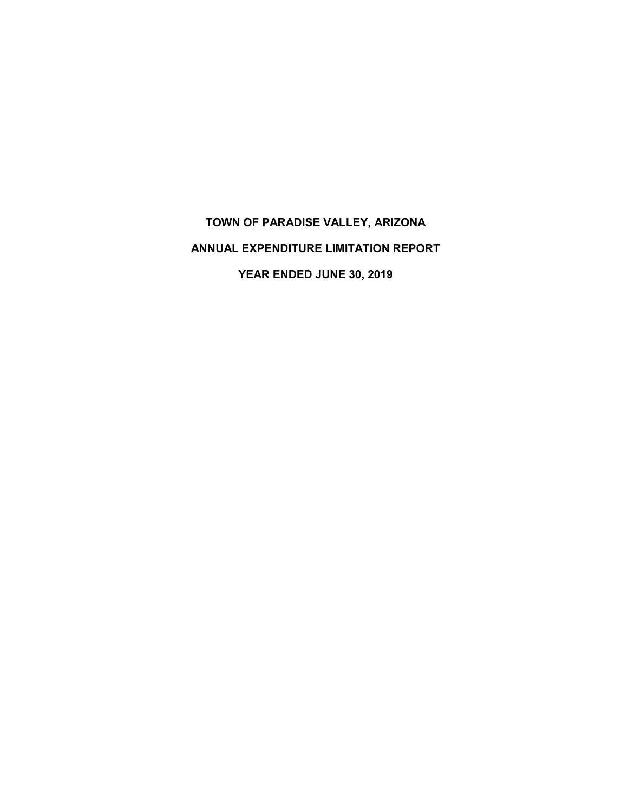# **TOWN OF PARADISE VALLEY, ARIZONA ANNUAL EXPENDITURE LIMITATION REPORT YEAR ENDED JUNE 30, 2019**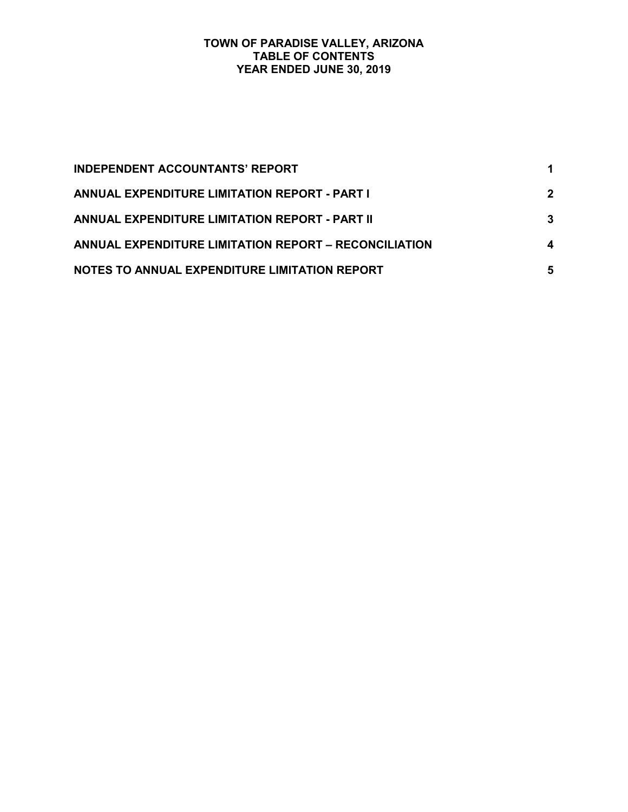#### **TOWN OF PARADISE VALLEY, ARIZONA TABLE OF CONTENTS YEAR ENDED JUNE 30, 2019**

| <b>INDEPENDENT ACCOUNTANTS' REPORT</b>                |             |
|-------------------------------------------------------|-------------|
| <b>ANNUAL EXPENDITURE LIMITATION REPORT - PART I</b>  | $\mathbf 2$ |
| <b>ANNUAL EXPENDITURE LIMITATION REPORT - PART II</b> | 3           |
| ANNUAL EXPENDITURE LIMITATION REPORT - RECONCILIATION | 4           |
| NOTES TO ANNUAL EXPENDITURE LIMITATION REPORT         | 5           |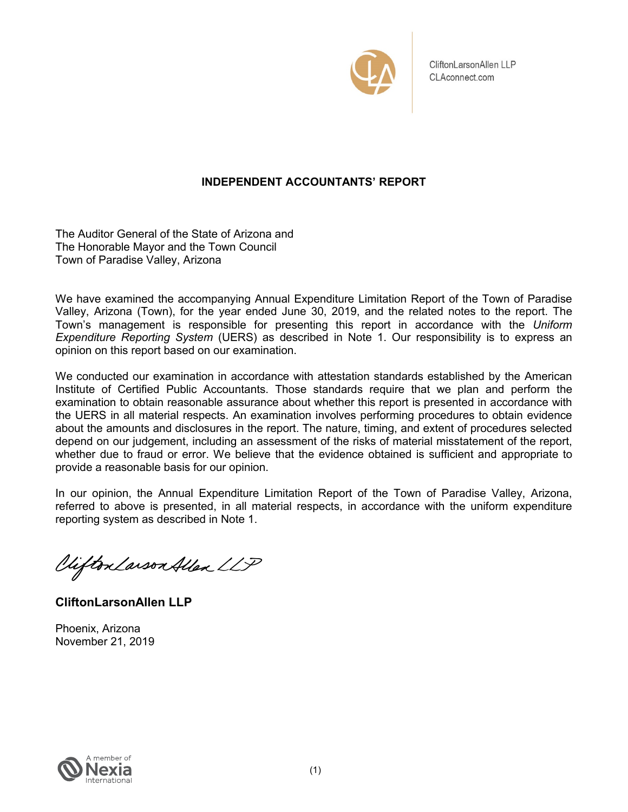

CliftonLarsonAllen LLP CLAconnect.com

# **INDEPENDENT ACCOUNTANTS' REPORT**

The Auditor General of the State of Arizona and The Honorable Mayor and the Town Council Town of Paradise Valley, Arizona

We have examined the accompanying Annual Expenditure Limitation Report of the Town of Paradise Valley, Arizona (Town), for the year ended June 30, 2019, and the related notes to the report. The Town's management is responsible for presenting this report in accordance with the *Uniform Expenditure Reporting System* (UERS) as described in Note 1. Our responsibility is to express an opinion on this report based on our examination.

We conducted our examination in accordance with attestation standards established by the American Institute of Certified Public Accountants. Those standards require that we plan and perform the examination to obtain reasonable assurance about whether this report is presented in accordance with the UERS in all material respects. An examination involves performing procedures to obtain evidence about the amounts and disclosures in the report. The nature, timing, and extent of procedures selected depend on our judgement, including an assessment of the risks of material misstatement of the report, whether due to fraud or error. We believe that the evidence obtained is sufficient and appropriate to provide a reasonable basis for our opinion.

In our opinion, the Annual Expenditure Limitation Report of the Town of Paradise Valley, Arizona, referred to above is presented, in all material respects, in accordance with the uniform expenditure reporting system as described in Note 1.

Vifton Larson Allen LLP

**CliftonLarsonAllen LLP**

Phoenix, Arizona November 21, 2019

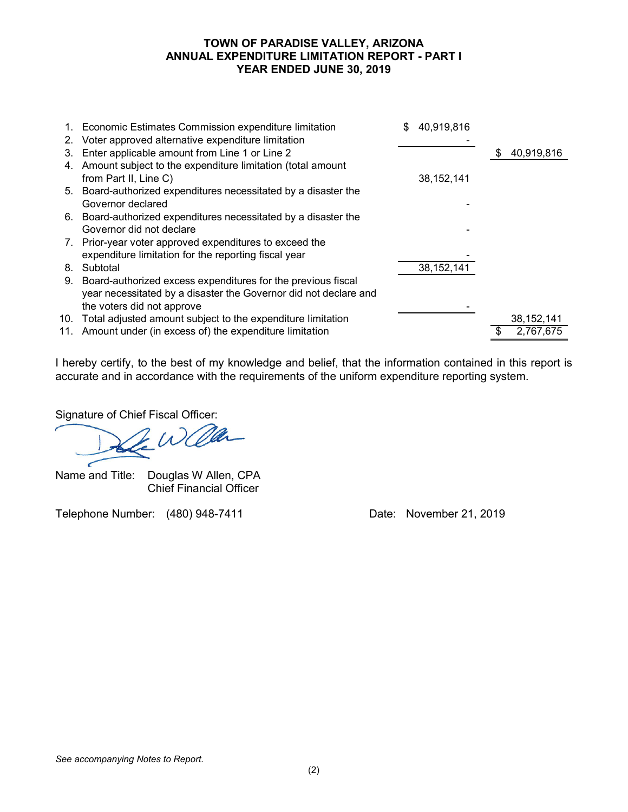## **TOWN OF PARADISE VALLEY, ARIZONA ANNUAL EXPENDITURE LIMITATION REPORT - PART I YEAR ENDED JUNE 30, 2019**

| 2. | 1. Economic Estimates Commission expenditure limitation<br>Voter approved alternative expenditure limitation | \$<br>40,919,816 |                  |
|----|--------------------------------------------------------------------------------------------------------------|------------------|------------------|
| 3. | Enter applicable amount from Line 1 or Line 2                                                                |                  | \$<br>40,919,816 |
| 4. | Amount subject to the expenditure limitation (total amount                                                   |                  |                  |
|    | from Part II, Line C)                                                                                        | 38, 152, 141     |                  |
|    | 5. Board-authorized expenditures necessitated by a disaster the                                              |                  |                  |
|    | Governor declared                                                                                            |                  |                  |
|    | 6. Board-authorized expenditures necessitated by a disaster the                                              |                  |                  |
|    | Governor did not declare                                                                                     |                  |                  |
|    | 7. Prior-year voter approved expenditures to exceed the                                                      |                  |                  |
|    | expenditure limitation for the reporting fiscal year                                                         |                  |                  |
| 8. | Subtotal                                                                                                     | 38, 152, 141     |                  |
| 9. | Board-authorized excess expenditures for the previous fiscal                                                 |                  |                  |
|    | year necessitated by a disaster the Governor did not declare and                                             |                  |                  |
|    | the voters did not approve                                                                                   |                  |                  |
|    | 10. Total adjusted amount subject to the expenditure limitation                                              |                  | 38, 152, 141     |
|    | 11. Amount under (in excess of) the expenditure limitation                                                   |                  | 2,767,675        |

I hereby certify, to the best of my knowledge and belief, that the information contained in this report is accurate and in accordance with the requirements of the uniform expenditure reporting system.

Signature of Chief Fiscal Officer:<br>
1122 W Collection

Name and Title: Douglas W Allen, CPA Chief Financial Officer

Telephone Number: (480) 948-7411 Date: November 21, 2019

*See accompanying Notes to Report.*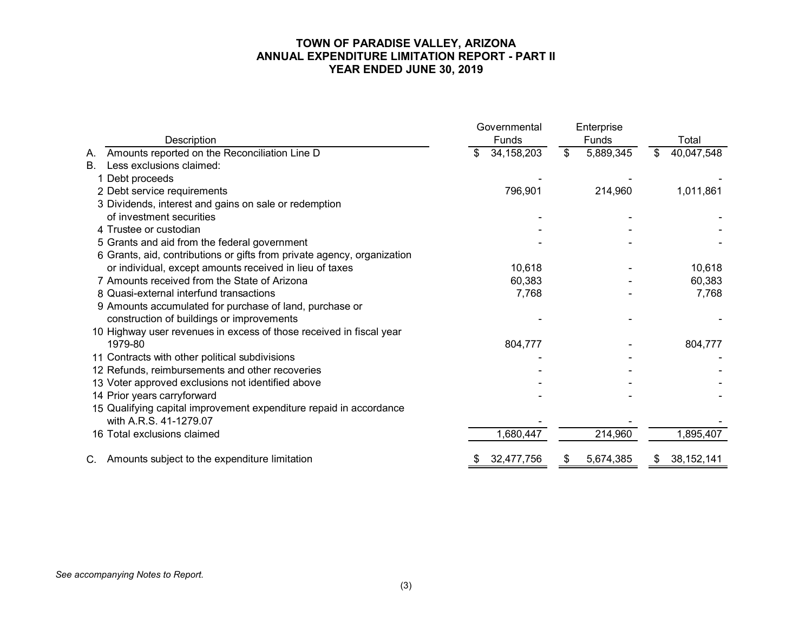#### **TOWN OF PARADISE VALLEY, ARIZONA ANNUAL EXPENDITURE LIMITATION REPORT - PART II YEAR ENDED JUNE 30, 2019**

|                                                                         | Governmental     | Enterprise         |                    |
|-------------------------------------------------------------------------|------------------|--------------------|--------------------|
| Description                                                             | Funds            | <b>Funds</b>       | Total              |
| Amounts reported on the Reconciliation Line D<br>А.                     | 34, 158, 203     | $\$\$<br>5,889,345 | 40,047,548<br>\$   |
| Less exclusions claimed:<br>B <sub>1</sub>                              |                  |                    |                    |
| Debt proceeds                                                           |                  |                    |                    |
| 2 Debt service requirements                                             | 796,901          | 214,960            | 1,011,861          |
| 3 Dividends, interest and gains on sale or redemption                   |                  |                    |                    |
| of investment securities                                                |                  |                    |                    |
| 4 Trustee or custodian                                                  |                  |                    |                    |
| 5 Grants and aid from the federal government                            |                  |                    |                    |
| 6 Grants, aid, contributions or gifts from private agency, organization |                  |                    |                    |
| or individual, except amounts received in lieu of taxes                 | 10,618           |                    | 10,618             |
| 7 Amounts received from the State of Arizona                            | 60,383           |                    | 60,383             |
| 8 Quasi-external interfund transactions                                 | 7,768            |                    | 7,768              |
| 9 Amounts accumulated for purchase of land, purchase or                 |                  |                    |                    |
| construction of buildings or improvements                               |                  |                    |                    |
| 10 Highway user revenues in excess of those received in fiscal year     |                  |                    |                    |
| 1979-80                                                                 | 804,777          |                    | 804,777            |
| 11 Contracts with other political subdivisions                          |                  |                    |                    |
| 12 Refunds, reimbursements and other recoveries                         |                  |                    |                    |
| 13 Voter approved exclusions not identified above                       |                  |                    |                    |
| 14 Prior years carryforward                                             |                  |                    |                    |
| 15 Qualifying capital improvement expenditure repaid in accordance      |                  |                    |                    |
| with A.R.S. 41-1279.07                                                  |                  |                    |                    |
| 16 Total exclusions claimed                                             | 1,680,447        | 214,960            | 1,895,407          |
|                                                                         |                  |                    |                    |
| C. Amounts subject to the expenditure limitation                        | 32,477,756<br>\$ | 5,674,385<br>\$    | 38, 152, 141<br>\$ |

*See accompanying Notes to Report.*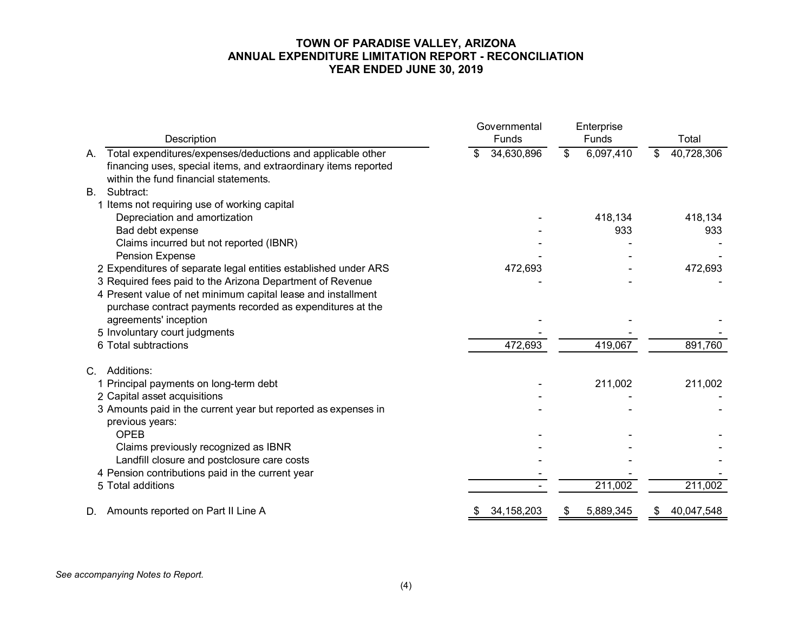#### **TOWN OF PARADISE VALLEY, ARIZONA ANNUAL EXPENDITURE LIMITATION REPORT - RECONCILIATION YEAR ENDED JUNE 30, 2019**

| Description                                                                                                                                                                   | Governmental<br>Funds | Enterprise<br>Funds | Total            |
|-------------------------------------------------------------------------------------------------------------------------------------------------------------------------------|-----------------------|---------------------|------------------|
| Total expenditures/expenses/deductions and applicable other<br>Α.<br>financing uses, special items, and extraordinary items reported<br>within the fund financial statements. | 34,630,896            | 6,097,410<br>\$     | 40,728,306<br>\$ |
| Subtract:<br><b>B.</b>                                                                                                                                                        |                       |                     |                  |
| 1 Items not requiring use of working capital                                                                                                                                  |                       |                     |                  |
| Depreciation and amortization                                                                                                                                                 |                       | 418,134             | 418,134          |
| Bad debt expense                                                                                                                                                              |                       | 933                 | 933              |
| Claims incurred but not reported (IBNR)                                                                                                                                       |                       |                     |                  |
| <b>Pension Expense</b>                                                                                                                                                        |                       |                     |                  |
| 2 Expenditures of separate legal entities established under ARS                                                                                                               | 472,693               |                     | 472,693          |
| 3 Required fees paid to the Arizona Department of Revenue                                                                                                                     |                       |                     |                  |
| 4 Present value of net minimum capital lease and installment                                                                                                                  |                       |                     |                  |
| purchase contract payments recorded as expenditures at the                                                                                                                    |                       |                     |                  |
| agreements' inception                                                                                                                                                         |                       |                     |                  |
| 5 Involuntary court judgments<br>6 Total subtractions                                                                                                                         |                       |                     |                  |
|                                                                                                                                                                               | 472,693               | 419,067             | 891,760          |
| Additions:<br>$C_{\cdot}$                                                                                                                                                     |                       |                     |                  |
| 1 Principal payments on long-term debt                                                                                                                                        |                       | 211,002             | 211,002          |
| 2 Capital asset acquisitions                                                                                                                                                  |                       |                     |                  |
| 3 Amounts paid in the current year but reported as expenses in                                                                                                                |                       |                     |                  |
| previous years:                                                                                                                                                               |                       |                     |                  |
| <b>OPEB</b>                                                                                                                                                                   |                       |                     |                  |
| Claims previously recognized as IBNR                                                                                                                                          |                       |                     |                  |
| Landfill closure and postclosure care costs                                                                                                                                   |                       |                     |                  |
| 4 Pension contributions paid in the current year                                                                                                                              |                       |                     |                  |
| 5 Total additions                                                                                                                                                             |                       | 211,002             | 211,002          |
| Amounts reported on Part II Line A<br>D.                                                                                                                                      | 34, 158, 203          | 5,889,345<br>\$     | 40,047,548<br>\$ |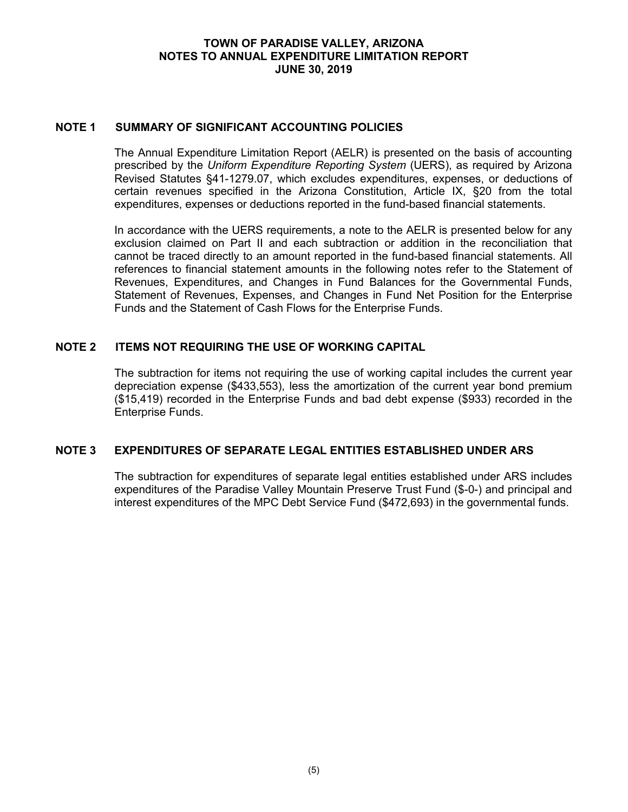## **TOWN OF PARADISE VALLEY, ARIZONA NOTES TO ANNUAL EXPENDITURE LIMITATION REPORT JUNE 30, 2019**

## **NOTE 1 SUMMARY OF SIGNIFICANT ACCOUNTING POLICIES**

The Annual Expenditure Limitation Report (AELR) is presented on the basis of accounting prescribed by the *Uniform Expenditure Reporting System* (UERS), as required by Arizona Revised Statutes §41-1279.07, which excludes expenditures, expenses, or deductions of certain revenues specified in the Arizona Constitution, Article IX, §20 from the total expenditures, expenses or deductions reported in the fund-based financial statements.

In accordance with the UERS requirements, a note to the AELR is presented below for any exclusion claimed on Part II and each subtraction or addition in the reconciliation that cannot be traced directly to an amount reported in the fund-based financial statements. All references to financial statement amounts in the following notes refer to the Statement of Revenues, Expenditures, and Changes in Fund Balances for the Governmental Funds, Statement of Revenues, Expenses, and Changes in Fund Net Position for the Enterprise Funds and the Statement of Cash Flows for the Enterprise Funds.

# **NOTE 2 ITEMS NOT REQUIRING THE USE OF WORKING CAPITAL**

The subtraction for items not requiring the use of working capital includes the current year depreciation expense (\$433,553), less the amortization of the current year bond premium (\$15,419) recorded in the Enterprise Funds and bad debt expense (\$933) recorded in the Enterprise Funds.

#### **NOTE 3 EXPENDITURES OF SEPARATE LEGAL ENTITIES ESTABLISHED UNDER ARS**

The subtraction for expenditures of separate legal entities established under ARS includes expenditures of the Paradise Valley Mountain Preserve Trust Fund (\$-0-) and principal and interest expenditures of the MPC Debt Service Fund (\$472,693) in the governmental funds.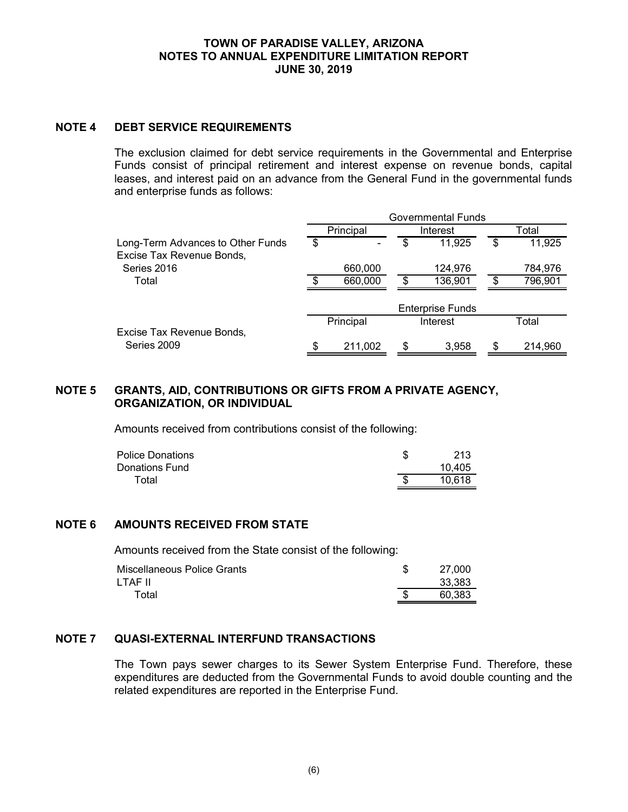#### **TOWN OF PARADISE VALLEY, ARIZONA NOTES TO ANNUAL EXPENDITURE LIMITATION REPORT JUNE 30, 2019**

# **NOTE 4 DEBT SERVICE REQUIREMENTS**

The exclusion claimed for debt service requirements in the Governmental and Enterprise Funds consist of principal retirement and interest expense on revenue bonds, capital leases, and interest paid on an advance from the General Fund in the governmental funds and enterprise funds as follows:

|                                                                | <b>Governmental Funds</b> |           |    |                         |     |         |
|----------------------------------------------------------------|---------------------------|-----------|----|-------------------------|-----|---------|
|                                                                |                           | Principal |    | Interest                |     | Total   |
| Long-Term Advances to Other Funds<br>Excise Tax Revenue Bonds, | \$                        |           | \$ | 11,925                  | \$  | 11,925  |
| Series 2016                                                    |                           | 660,000   |    | 124,976                 |     | 784,976 |
| Total                                                          | \$                        | 660,000   | \$ | 136,901                 | \$. | 796,901 |
|                                                                |                           |           |    | <b>Enterprise Funds</b> |     |         |
|                                                                |                           | Principal |    | Interest                |     | Total   |
| Excise Tax Revenue Bonds,                                      |                           |           |    |                         |     |         |
| Series 2009                                                    | \$                        | 211,002   |    | 3,958                   |     | 214,960 |

# **NOTE 5 GRANTS, AID, CONTRIBUTIONS OR GIFTS FROM A PRIVATE AGENCY, ORGANIZATION, OR INDIVIDUAL**

Amounts received from contributions consist of the following:

| <b>Police Donations</b> | 213    |
|-------------------------|--------|
| Donations Fund          | 10.405 |
| Total                   | 10.618 |

# **NOTE 6 AMOUNTS RECEIVED FROM STATE**

Amounts received from the State consist of the following:

| Miscellaneous Police Grants | 27,000 |
|-----------------------------|--------|
| LTAF II                     | 33,383 |
| Total                       | 60.383 |

# **NOTE 7 QUASI-EXTERNAL INTERFUND TRANSACTIONS**

The Town pays sewer charges to its Sewer System Enterprise Fund. Therefore, these expenditures are deducted from the Governmental Funds to avoid double counting and the related expenditures are reported in the Enterprise Fund.